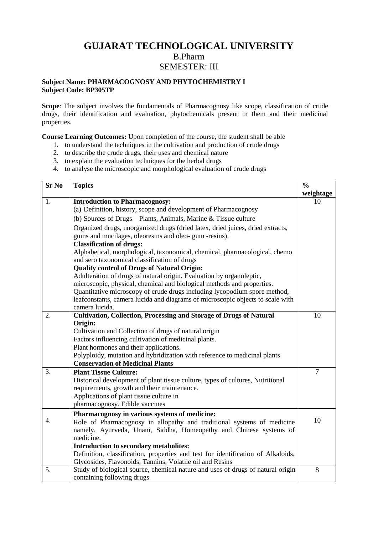## **GUJARAT TECHNOLOGICAL UNIVERSITY** B.Pharm SEMESTER: III

## **Subject Name: PHARMACOGNOSY AND PHYTOCHEMISTRY I Subject Code: BP305TP**

**Scope**: The subject involves the fundamentals of Pharmacognosy like scope, classification of crude drugs, their identification and evaluation, phytochemicals present in them and their medicinal properties.

**Course Learning Outcomes:** Upon completion of the course, the student shall be able

- 1. to understand the techniques in the cultivation and production of crude drugs
- 2. to describe the crude drugs, their uses and chemical nature
- 3. to explain the evaluation techniques for the herbal drugs
- 4. to analyse the microscopic and morphological evaluation of crude drugs

| <b>Sr No</b> | <b>Topics</b>                                                                                    | $\frac{0}{0}$  |
|--------------|--------------------------------------------------------------------------------------------------|----------------|
|              |                                                                                                  | weightage      |
| 1.           | <b>Introduction to Pharmacognosy:</b>                                                            | 10             |
|              | (a) Definition, history, scope and development of Pharmacognosy                                  |                |
|              | (b) Sources of Drugs - Plants, Animals, Marine & Tissue culture                                  |                |
|              | Organized drugs, unorganized drugs (dried latex, dried juices, dried extracts,                   |                |
|              | gums and mucilages, oleoresins and oleo-gum -resins).                                            |                |
|              | <b>Classification of drugs:</b>                                                                  |                |
|              | Alphabetical, morphological, taxonomical, chemical, pharmacological, chemo                       |                |
|              | and sero taxonomical classification of drugs                                                     |                |
|              | <b>Quality control of Drugs of Natural Origin:</b>                                               |                |
|              | Adulteration of drugs of natural origin. Evaluation by organoleptic,                             |                |
|              | microscopic, physical, chemical and biological methods and properties.                           |                |
|              | Quantitative microscopy of crude drugs including lycopodium spore method,                        |                |
|              | leafconstants, camera lucida and diagrams of microscopic objects to scale with<br>camera lucida. |                |
| 2.           | <b>Cultivation, Collection, Processing and Storage of Drugs of Natural</b>                       | 10             |
|              | Origin:                                                                                          |                |
|              | Cultivation and Collection of drugs of natural origin                                            |                |
|              | Factors influencing cultivation of medicinal plants.                                             |                |
|              | Plant hormones and their applications.                                                           |                |
|              | Polyploidy, mutation and hybridization with reference to medicinal plants                        |                |
|              | <b>Conservation of Medicinal Plants</b>                                                          |                |
| 3.           | <b>Plant Tissue Culture:</b>                                                                     | $\overline{7}$ |
|              | Historical development of plant tissue culture, types of cultures, Nutritional                   |                |
|              | requirements, growth and their maintenance.                                                      |                |
|              | Applications of plant tissue culture in                                                          |                |
|              | pharmacognosy. Edible vaccines                                                                   |                |
|              | Pharmacognosy in various systems of medicine:                                                    |                |
| 4.           | Role of Pharmacognosy in allopathy and traditional systems of medicine                           | 10             |
|              | namely, Ayurveda, Unani, Siddha, Homeopathy and Chinese systems of                               |                |
|              | medicine.                                                                                        |                |
|              | Introduction to secondary metabolites:                                                           |                |
|              | Definition, classification, properties and test for identification of Alkaloids,                 |                |
|              | Glycosides, Flavonoids, Tannins, Volatile oil and Resins                                         |                |
| 5.           | Study of biological source, chemical nature and uses of drugs of natural origin                  | 8              |
|              | containing following drugs                                                                       |                |